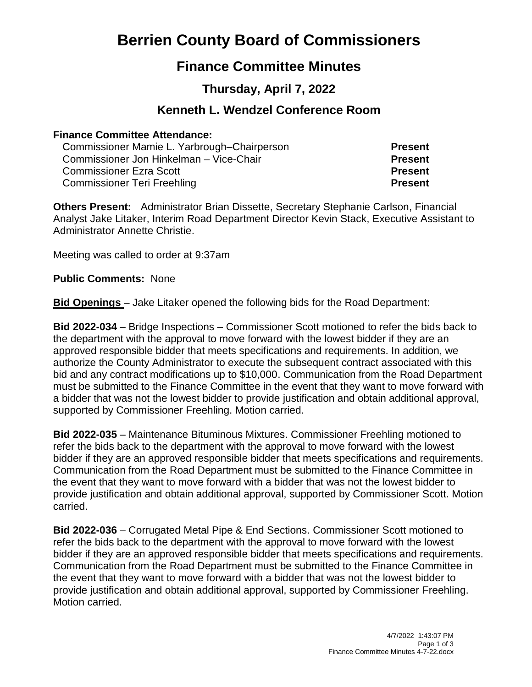# **Berrien County Board of Commissioners**

# **Finance Committee Minutes**

# **Thursday, April 7, 2022**

# **Kenneth L. Wendzel Conference Room**

#### **Finance Committee Attendance:**

Commissioner Mamie L. Yarbrough–Chairperson **Present** Commissioner Jon Hinkelman – Vice-Chair **Present** Commissioner Ezra Scott **Present** Commissioner Teri Freehling **Present**

**Others Present:** Administrator Brian Dissette, Secretary Stephanie Carlson, Financial Analyst Jake Litaker, Interim Road Department Director Kevin Stack, Executive Assistant to Administrator Annette Christie.

Meeting was called to order at 9:37am

**Public Comments:** None

**Bid Openings** – Jake Litaker opened the following bids for the Road Department:

**Bid 2022-034** – Bridge Inspections – Commissioner Scott motioned to refer the bids back to the department with the approval to move forward with the lowest bidder if they are an approved responsible bidder that meets specifications and requirements. In addition, we authorize the County Administrator to execute the subsequent contract associated with this bid and any contract modifications up to \$10,000. Communication from the Road Department must be submitted to the Finance Committee in the event that they want to move forward with a bidder that was not the lowest bidder to provide justification and obtain additional approval, supported by Commissioner Freehling. Motion carried.

**Bid 2022-035** – Maintenance Bituminous Mixtures. Commissioner Freehling motioned to refer the bids back to the department with the approval to move forward with the lowest bidder if they are an approved responsible bidder that meets specifications and requirements. Communication from the Road Department must be submitted to the Finance Committee in the event that they want to move forward with a bidder that was not the lowest bidder to provide justification and obtain additional approval, supported by Commissioner Scott. Motion carried.

**Bid 2022-036** – Corrugated Metal Pipe & End Sections. Commissioner Scott motioned to refer the bids back to the department with the approval to move forward with the lowest bidder if they are an approved responsible bidder that meets specifications and requirements. Communication from the Road Department must be submitted to the Finance Committee in the event that they want to move forward with a bidder that was not the lowest bidder to provide justification and obtain additional approval, supported by Commissioner Freehling. Motion carried.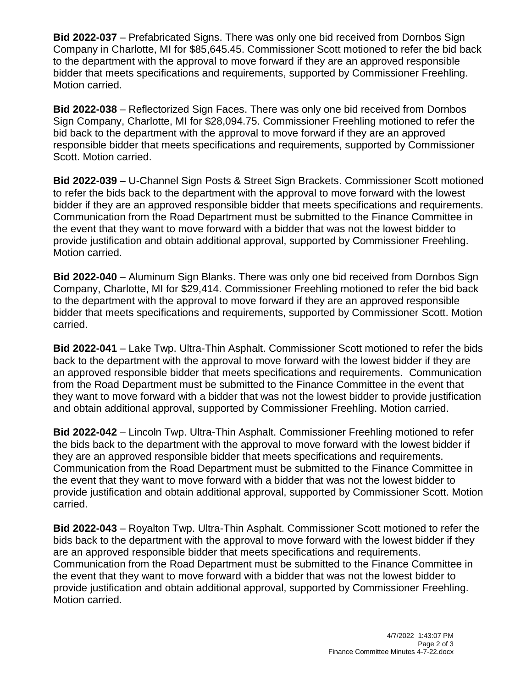**Bid 2022-037** – Prefabricated Signs. There was only one bid received from Dornbos Sign Company in Charlotte, MI for \$85,645.45. Commissioner Scott motioned to refer the bid back to the department with the approval to move forward if they are an approved responsible bidder that meets specifications and requirements, supported by Commissioner Freehling. Motion carried.

**Bid 2022-038** – Reflectorized Sign Faces. There was only one bid received from Dornbos Sign Company, Charlotte, MI for \$28,094.75. Commissioner Freehling motioned to refer the bid back to the department with the approval to move forward if they are an approved responsible bidder that meets specifications and requirements, supported by Commissioner Scott. Motion carried.

**Bid 2022-039** – U-Channel Sign Posts & Street Sign Brackets. Commissioner Scott motioned to refer the bids back to the department with the approval to move forward with the lowest bidder if they are an approved responsible bidder that meets specifications and requirements. Communication from the Road Department must be submitted to the Finance Committee in the event that they want to move forward with a bidder that was not the lowest bidder to provide justification and obtain additional approval, supported by Commissioner Freehling. Motion carried.

**Bid 2022-040** – Aluminum Sign Blanks. There was only one bid received from Dornbos Sign Company, Charlotte, MI for \$29,414. Commissioner Freehling motioned to refer the bid back to the department with the approval to move forward if they are an approved responsible bidder that meets specifications and requirements, supported by Commissioner Scott. Motion carried.

**Bid 2022-041** – Lake Twp. Ultra-Thin Asphalt. Commissioner Scott motioned to refer the bids back to the department with the approval to move forward with the lowest bidder if they are an approved responsible bidder that meets specifications and requirements. Communication from the Road Department must be submitted to the Finance Committee in the event that they want to move forward with a bidder that was not the lowest bidder to provide justification and obtain additional approval, supported by Commissioner Freehling. Motion carried.

**Bid 2022-042** – Lincoln Twp. Ultra-Thin Asphalt. Commissioner Freehling motioned to refer the bids back to the department with the approval to move forward with the lowest bidder if they are an approved responsible bidder that meets specifications and requirements. Communication from the Road Department must be submitted to the Finance Committee in the event that they want to move forward with a bidder that was not the lowest bidder to provide justification and obtain additional approval, supported by Commissioner Scott. Motion carried.

**Bid 2022-043** – Royalton Twp. Ultra-Thin Asphalt. Commissioner Scott motioned to refer the bids back to the department with the approval to move forward with the lowest bidder if they are an approved responsible bidder that meets specifications and requirements. Communication from the Road Department must be submitted to the Finance Committee in the event that they want to move forward with a bidder that was not the lowest bidder to provide justification and obtain additional approval, supported by Commissioner Freehling. Motion carried.